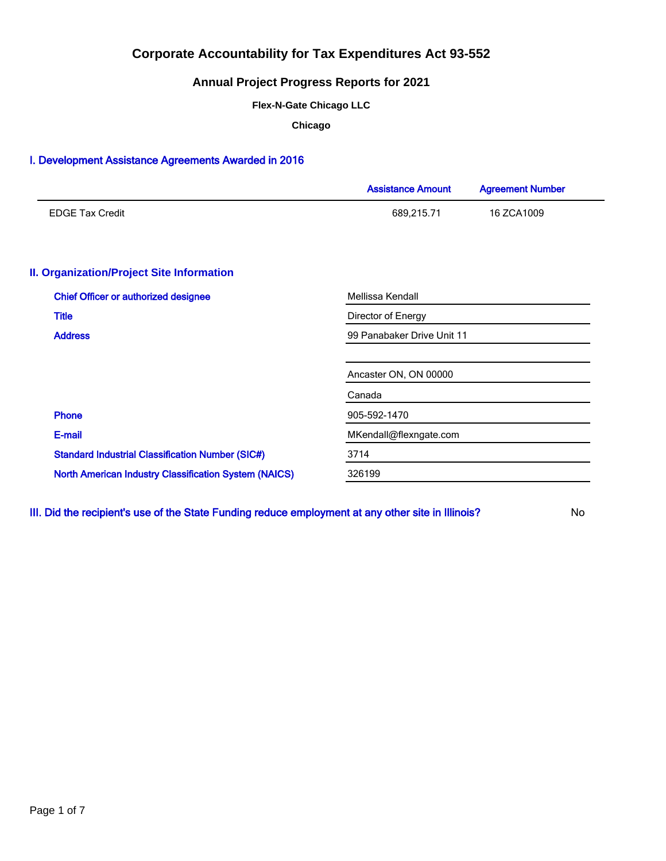## **Annual Project Progress Reports for 2021**

**Flex-N-Gate Chicago LLC**

**Chicago**

### I. Development Assistance Agreements Awarded in 2016

|                                                              | <b>Assistance Amount</b>   | <b>Agreement Number</b> |  |  |  |
|--------------------------------------------------------------|----------------------------|-------------------------|--|--|--|
| <b>EDGE Tax Credit</b>                                       | 689,215.71                 | 16 ZCA1009              |  |  |  |
| <b>II. Organization/Project Site Information</b>             |                            |                         |  |  |  |
| <b>Chief Officer or authorized designee</b>                  | Mellissa Kendall           |                         |  |  |  |
| <b>Title</b>                                                 | Director of Energy         |                         |  |  |  |
| <b>Address</b>                                               | 99 Panabaker Drive Unit 11 |                         |  |  |  |
|                                                              | Ancaster ON, ON 00000      |                         |  |  |  |
|                                                              | Canada                     |                         |  |  |  |
| <b>Phone</b>                                                 | 905-592-1470               |                         |  |  |  |
| E-mail                                                       | MKendall@flexngate.com     |                         |  |  |  |
| <b>Standard Industrial Classification Number (SIC#)</b>      | 3714                       |                         |  |  |  |
| <b>North American Industry Classification System (NAICS)</b> | 326199                     |                         |  |  |  |

III. Did the recipient's use of the State Funding reduce employment at any other site in Illinois? No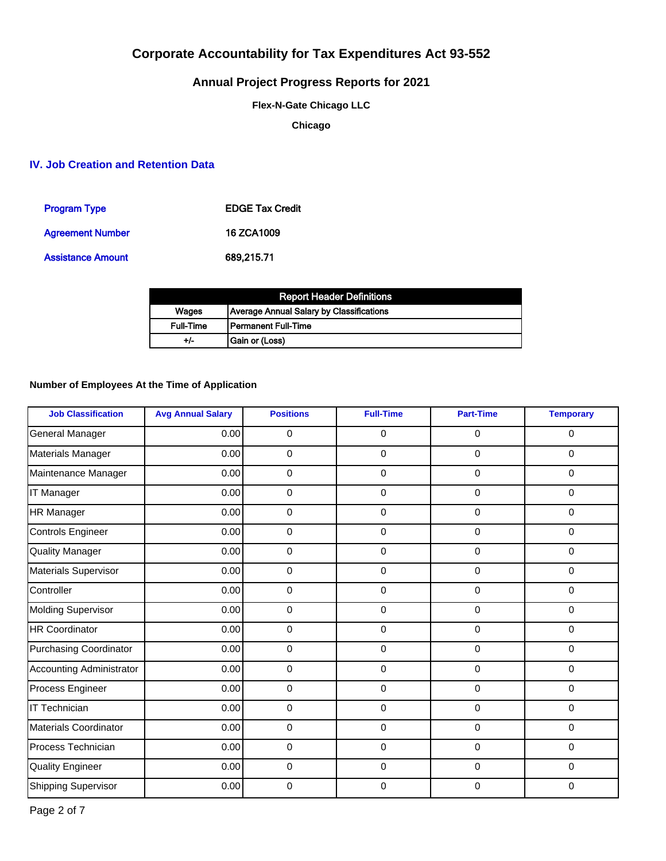# **Annual Project Progress Reports for 2021**

**Flex-N-Gate Chicago LLC**

**Chicago**

### **IV. Job Creation and Retention Data**

| <b>Program Type</b>      | <b>EDGE Tax Credit</b> |
|--------------------------|------------------------|
| <b>Agreement Number</b>  | 16 ZCA1009             |
| <b>Assistance Amount</b> | 689,215.71             |

|                  | <b>Report Header Definitions</b>         |
|------------------|------------------------------------------|
| Wages            | Average Annual Salary by Classifications |
| <b>Full-Time</b> | l Permanent Full-Time                    |
| +/-              | Gain or (Loss)                           |

### **Number of Employees At the Time of Application**

| <b>Job Classification</b>       | <b>Avg Annual Salary</b> | <b>Positions</b> | <b>Full-Time</b>    | <b>Part-Time</b> | <b>Temporary</b> |
|---------------------------------|--------------------------|------------------|---------------------|------------------|------------------|
| General Manager                 | 0.00                     | 0                | $\mathsf{O}\xspace$ | $\mathbf 0$      | 0                |
| Materials Manager               | 0.00                     | $\mathbf 0$      | $\mathbf 0$         | $\mathbf 0$      | 0                |
| Maintenance Manager             | 0.00                     | $\mathbf 0$      | 0                   | $\mathbf 0$      | 0                |
| IT Manager                      | 0.00                     | 0                | 0                   | $\mathbf{0}$     | 0                |
| <b>HR Manager</b>               | 0.00                     | $\mathbf 0$      | 0                   | $\mathbf 0$      | 0                |
| <b>Controls Engineer</b>        | 0.00                     | $\mathbf 0$      | 0                   | $\mathbf 0$      | $\mathbf 0$      |
| <b>Quality Manager</b>          | 0.00                     | $\mathbf 0$      | $\mathbf 0$         | $\mathbf 0$      | 0                |
| Materials Supervisor            | 0.00                     | $\mathbf 0$      | $\mathbf 0$         | $\mathbf 0$      | 0                |
| Controller                      | 0.00                     | $\pmb{0}$        | 0                   | $\mathbf 0$      | $\mathbf 0$      |
| <b>Molding Supervisor</b>       | 0.00                     | $\mathbf 0$      | 0                   | $\mathbf 0$      | $\mathbf 0$      |
| <b>HR Coordinator</b>           | 0.00                     | $\mathbf 0$      | 0                   | $\mathbf 0$      | 0                |
| <b>Purchasing Coordinator</b>   | 0.00                     | 0                | $\mathsf{O}\xspace$ | $\mathbf 0$      | 0                |
| <b>Accounting Administrator</b> | 0.00                     | 0                | $\mathbf 0$         | $\mathbf 0$      | $\mathbf 0$      |
| Process Engineer                | 0.00                     | 0                | $\mathbf 0$         | $\mathbf 0$      | 0                |
| <b>IT Technician</b>            | 0.00                     | $\mathbf 0$      | $\mathbf 0$         | $\mathbf 0$      | 0                |
| <b>Materials Coordinator</b>    | 0.00                     | $\mathbf 0$      | 0                   | $\mathbf 0$      | 0                |
| Process Technician              | 0.00                     | 0                | 0                   | $\mathbf{0}$     | $\mathbf 0$      |
| <b>Quality Engineer</b>         | 0.00                     | $\mathbf 0$      | 0                   | $\mathbf{0}$     | 0                |
| <b>Shipping Supervisor</b>      | 0.00                     | $\mathbf 0$      | $\Omega$            | $\Omega$         | $\mathbf 0$      |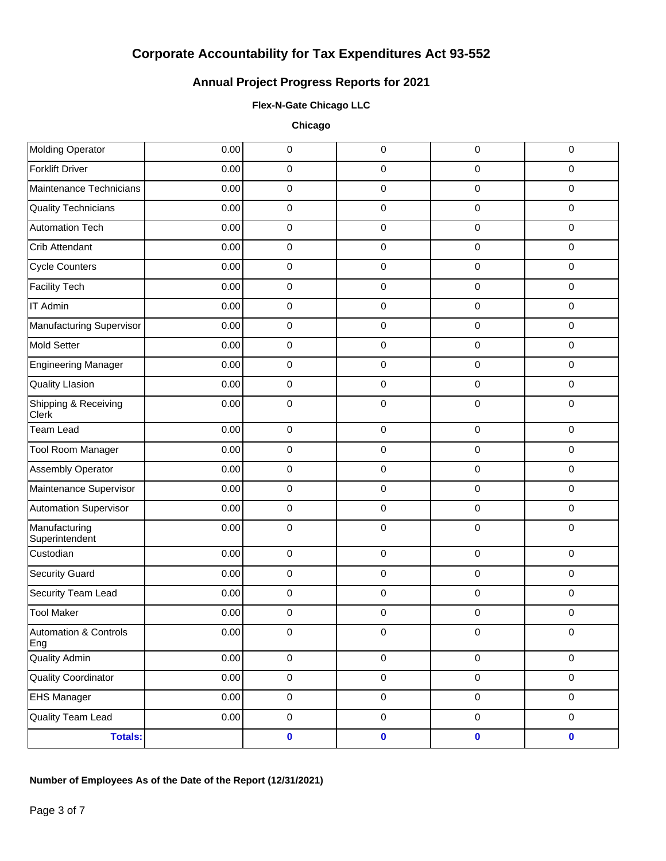# **Annual Project Progress Reports for 2021**

### **Flex-N-Gate Chicago LLC**

**Chicago**

| Molding Operator                        | 0.00 | $\pmb{0}$           | 0                   | 0         | $\pmb{0}$           |
|-----------------------------------------|------|---------------------|---------------------|-----------|---------------------|
| <b>Forklift Driver</b>                  | 0.00 | $\pmb{0}$           | 0                   | $\pmb{0}$ | $\pmb{0}$           |
| Maintenance Technicians                 | 0.00 | $\mathsf 0$         | 0                   | $\pmb{0}$ | $\pmb{0}$           |
| <b>Quality Technicians</b>              | 0.00 | $\pmb{0}$           | 0                   | $\pmb{0}$ | $\pmb{0}$           |
| <b>Automation Tech</b>                  | 0.00 | $\mathsf 0$         | 0                   | $\pmb{0}$ | $\pmb{0}$           |
| Crib Attendant                          | 0.00 | $\mathsf 0$         | 0                   | $\pmb{0}$ | $\pmb{0}$           |
| <b>Cycle Counters</b>                   | 0.00 | $\mathsf 0$         | 0                   | $\pmb{0}$ | $\pmb{0}$           |
| <b>Facility Tech</b>                    | 0.00 | $\mathsf 0$         | 0                   | $\pmb{0}$ | $\pmb{0}$           |
| <b>IT Admin</b>                         | 0.00 | $\mathsf 0$         | 0                   | $\pmb{0}$ | $\pmb{0}$           |
| Manufacturing Supervisor                | 0.00 | $\pmb{0}$           | 0                   | $\pmb{0}$ | $\pmb{0}$           |
| Mold Setter                             | 0.00 | $\mathsf 0$         | 0                   | $\pmb{0}$ | $\pmb{0}$           |
| <b>Engineering Manager</b>              | 0.00 | $\mathsf 0$         | 0                   | $\pmb{0}$ | $\pmb{0}$           |
| <b>Quality Llasion</b>                  | 0.00 | $\mathbf 0$         | 0                   | $\pmb{0}$ | $\pmb{0}$           |
| Shipping & Receiving<br>Clerk           | 0.00 | $\pmb{0}$           | 0                   | $\pmb{0}$ | $\pmb{0}$           |
| Team Lead                               | 0.00 | $\mathsf 0$         | 0                   | $\pmb{0}$ | $\pmb{0}$           |
| Tool Room Manager                       | 0.00 | $\mathbf 0$         | 0                   | $\pmb{0}$ | $\pmb{0}$           |
| Assembly Operator                       | 0.00 | $\mathsf 0$         | 0                   | $\pmb{0}$ | $\pmb{0}$           |
| Maintenance Supervisor                  | 0.00 | $\mathsf 0$         | 0                   | $\pmb{0}$ | $\mathbf 0$         |
| <b>Automation Supervisor</b>            | 0.00 | $\pmb{0}$           | 0                   | $\pmb{0}$ | $\pmb{0}$           |
| Manufacturing<br>Superintendent         | 0.00 | $\mathsf 0$         | 0                   | $\pmb{0}$ | $\mathbf 0$         |
| Custodian                               | 0.00 | $\pmb{0}$           | 0                   | $\pmb{0}$ | $\mathbf 0$         |
| <b>Security Guard</b>                   | 0.00 | $\pmb{0}$           | 0                   | $\pmb{0}$ | $\pmb{0}$           |
| Security Team Lead                      | 0.00 | $\mathbf 0$         | 0                   | $\pmb{0}$ | $\mathbf 0$         |
| <b>Tool Maker</b>                       | 0.00 | $\pmb{0}$           | 0                   | $\pmb{0}$ | $\pmb{0}$           |
| <b>Automation &amp; Controls</b><br>Eng | 0.00 | 0                   | 0                   | $\pmb{0}$ | $\pmb{0}$           |
| <b>Quality Admin</b>                    | 0.00 | $\mathsf{O}\xspace$ | $\mathsf{O}\xspace$ | $\pmb{0}$ | $\mathbf 0$         |
| <b>Quality Coordinator</b>              | 0.00 | $\mathbf 0$         | $\mathsf{O}\xspace$ | $\pmb{0}$ | $\mathsf{O}\xspace$ |
| <b>EHS Manager</b>                      | 0.00 | $\mathsf{O}\xspace$ | $\mathsf{O}\xspace$ | $\pmb{0}$ | $\mathbf 0$         |
| <b>Quality Team Lead</b>                | 0.00 | $\mathbf 0$         | $\mathsf{O}\xspace$ | $\pmb{0}$ | $\mathsf{O}\xspace$ |
| <b>Totals:</b>                          |      | $\pmb{0}$           | $\pmb{0}$           | $\pmb{0}$ | $\mathbf 0$         |
|                                         |      |                     |                     |           |                     |

## **Number of Employees As of the Date of the Report (12/31/2021)**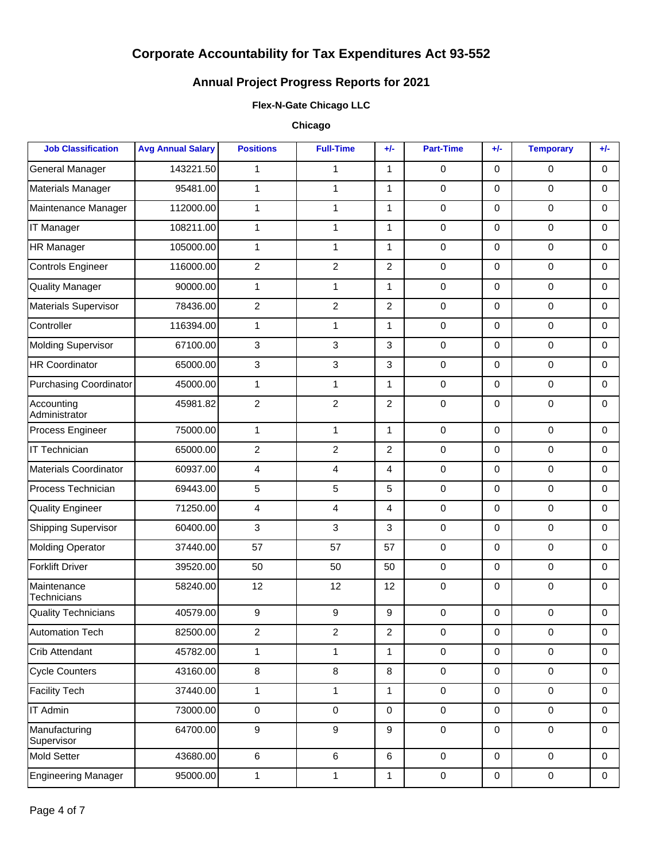# **Annual Project Progress Reports for 2021**

### **Flex-N-Gate Chicago LLC**

### **Chicago**

| <b>Job Classification</b>     | <b>Avg Annual Salary</b> | <b>Positions</b>        | <b>Full-Time</b> | $+/-$          | <b>Part-Time</b> | $+/-$               | <b>Temporary</b> | $+/-$        |
|-------------------------------|--------------------------|-------------------------|------------------|----------------|------------------|---------------------|------------------|--------------|
| <b>General Manager</b>        | 143221.50                | $\mathbf{1}$            | 1                | $\mathbf{1}$   | $\mathbf 0$      | $\mathbf 0$         | $\mathbf 0$      | $\Omega$     |
| Materials Manager             | 95481.00                 | $\mathbf{1}$            | $\mathbf{1}$     | $\mathbf{1}$   | $\mathbf 0$      | $\mathbf 0$         | 0                | $\Omega$     |
| Maintenance Manager           | 112000.00                | $\mathbf{1}$            | $\mathbf{1}$     | $\mathbf{1}$   | $\mathbf 0$      | $\mathbf 0$         | $\mathbf 0$      | $\Omega$     |
| <b>IT Manager</b>             | 108211.00                | $\mathbf{1}$            | $\mathbf{1}$     | $\mathbf{1}$   | $\mathbf 0$      | $\mathbf 0$         | $\pmb{0}$        | $\Omega$     |
| HR Manager                    | 105000.00                | $\mathbf{1}$            | $\mathbf{1}$     | $\mathbf{1}$   | $\mathbf 0$      | $\mathbf 0$         | $\mathbf 0$      | $\Omega$     |
| <b>Controls Engineer</b>      | 116000.00                | $\overline{2}$          | $\overline{2}$   | $\overline{2}$ | $\mathbf 0$      | $\mathbf 0$         | $\pmb{0}$        | $\Omega$     |
| <b>Quality Manager</b>        | 90000.00                 | $\mathbf{1}$            | $\mathbf{1}$     | $\mathbf{1}$   | $\mathbf 0$      | $\mathbf 0$         | $\mathbf 0$      | $\Omega$     |
| Materials Supervisor          | 78436.00                 | $\overline{2}$          | $\overline{2}$   | $\overline{2}$ | $\mathbf 0$      | $\mathbf 0$         | $\pmb{0}$        | $\Omega$     |
| Controller                    | 116394.00                | $\mathbf{1}$            | $\mathbf{1}$     | $\mathbf{1}$   | $\mathbf 0$      | $\mathbf 0$         | $\mathbf 0$      | $\Omega$     |
| Molding Supervisor            | 67100.00                 | 3                       | $\mathbf{3}$     | $\mathbf{3}$   | $\pmb{0}$        | $\mathbf 0$         | $\pmb{0}$        | $\Omega$     |
| HR Coordinator                | 65000.00                 | 3                       | $\mathbf{3}$     | 3              | $\mathbf 0$      | $\mathbf 0$         | $\mathbf 0$      | $\Omega$     |
| <b>Purchasing Coordinator</b> | 45000.00                 | $\mathbf{1}$            | $\mathbf{1}$     | $\mathbf{1}$   | $\mathbf 0$      | $\mathbf 0$         | $\pmb{0}$        | $\Omega$     |
| Accounting<br>Administrator   | 45981.82                 | $\overline{2}$          | $\overline{2}$   | $\overline{2}$ | $\mathbf 0$      | $\mathbf 0$         | 0                | $\Omega$     |
| Process Engineer              | 75000.00                 | $\mathbf{1}$            | $\mathbf{1}$     | $\mathbf{1}$   | $\mathbf 0$      | $\mathbf 0$         | $\mathbf 0$      | $\Omega$     |
| IT Technician                 | 65000.00                 | $\overline{2}$          | $\overline{2}$   | $\overline{2}$ | $\pmb{0}$        | $\mathbf 0$         | 0                | $\Omega$     |
| Materials Coordinator         | 60937.00                 | 4                       | $\overline{4}$   | $\overline{4}$ | $\mathbf 0$      | $\mathbf 0$         | $\mathbf 0$      | $\Omega$     |
| Process Technician            | 69443.00                 | 5                       | $\overline{5}$   | 5              | $\pmb{0}$        | $\mathbf 0$         | $\pmb{0}$        | $\Omega$     |
| <b>Quality Engineer</b>       | 71250.00                 | $\overline{\mathbf{4}}$ | $\overline{4}$   | $\overline{4}$ | $\mathbf 0$      | $\mathbf 0$         | $\mathbf 0$      | $\Omega$     |
| <b>Shipping Supervisor</b>    | 60400.00                 | 3                       | $\mathbf{3}$     | 3              | $\mathbf 0$      | $\mathbf 0$         | $\pmb{0}$        | $\Omega$     |
| <b>Molding Operator</b>       | 37440.00                 | 57                      | 57               | 57             | $\mathbf 0$      | $\mathbf 0$         | $\mathbf 0$      | $\Omega$     |
| <b>Forklift Driver</b>        | 39520.00                 | 50                      | 50               | 50             | $\mathbf 0$      | $\mathbf 0$         | $\pmb{0}$        | $\Omega$     |
| Maintenance<br>Technicians    | 58240.00                 | 12                      | 12               | 12             | $\mathbf 0$      | $\mathbf 0$         | 0                | $\Omega$     |
| <b>Quality Technicians</b>    | 40579.00                 | 9                       | 9                | 9              | $\mathbf 0$      | $\mathbf 0$         | 0                | $\Omega$     |
| <b>Automation Tech</b>        | 82500.00                 | 2                       | 2                | $\overline{c}$ | 0                | 0                   | 0                | 0            |
| Crib Attendant                | 45782.00                 | $\mathbf{1}$            | $\mathbf{1}$     | $\mathbf{1}$   | $\mathbf 0$      | $\mathbf 0$         | $\pmb{0}$        | $\mathbf 0$  |
| Cycle Counters                | 43160.00                 | 8                       | 8                | 8              | $\mathbf 0$      | $\mathbf 0$         | $\pmb{0}$        | $\mathbf 0$  |
| Facility Tech                 | 37440.00                 | $\mathbf{1}$            | $\mathbf{1}$     | $\mathbf{1}$   | $\mathbf 0$      | $\mathbf 0$         | $\pmb{0}$        | $\mathbf 0$  |
| IT Admin                      | 73000.00                 | $\pmb{0}$               | $\pmb{0}$        | $\mathbf 0$    | $\mathbf 0$      | $\mathbf 0$         | $\pmb{0}$        | $\mathbf 0$  |
| Manufacturing<br>Supervisor   | 64700.00                 | 9                       | 9                | 9              | $\mathbf 0$      | $\mathbf 0$         | $\pmb{0}$        | $\mathbf 0$  |
| Mold Setter                   | 43680.00                 | 6                       | $6\phantom{a}$   | 6              | $\mathbf 0$      | $\mathbf 0$         | $\pmb{0}$        | $\mathbf 0$  |
| Engineering Manager           | 95000.00                 | $\mathbf{1}$            | $\mathbf{1}$     | $\mathbf{1}$   | $\pmb{0}$        | $\mathsf{O}\xspace$ | $\pmb{0}$        | $\mathsf{O}$ |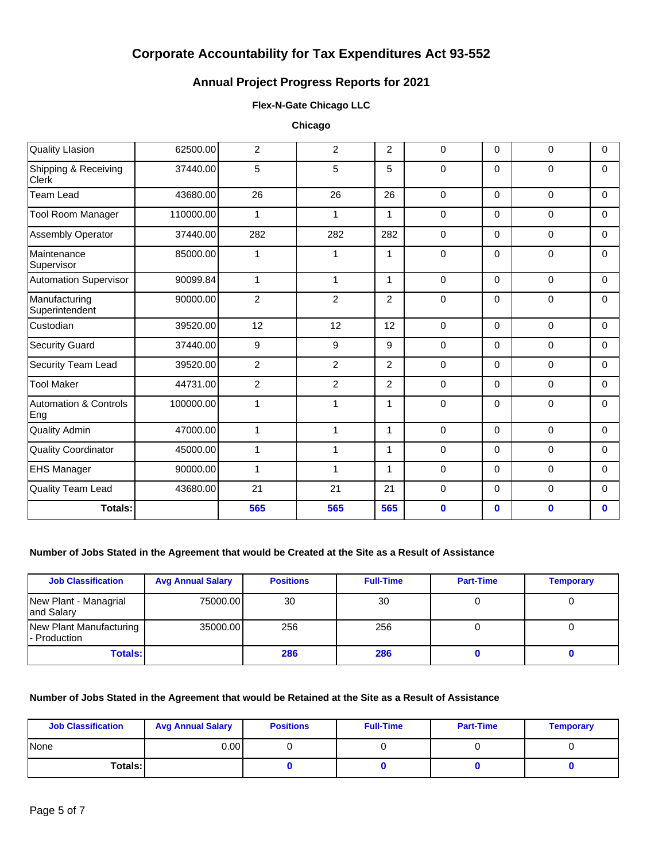## **Annual Project Progress Reports for 2021**

#### **Flex-N-Gate Chicago LLC**

**Chicago**

| <b>Quality Llasion</b>                  | 62500.00  | $\overline{2}$ | $\overline{2}$ | $\overline{2}$ | 0           | 0        | $\mathbf 0$  | 0        |
|-----------------------------------------|-----------|----------------|----------------|----------------|-------------|----------|--------------|----------|
| Shipping & Receiving<br><b>Clerk</b>    | 37440.00  | 5              | 5              | 5              | 0           | $\Omega$ | 0            | $\Omega$ |
| Team Lead                               | 43680.00  | 26             | 26             | 26             | $\mathbf 0$ | $\Omega$ | $\mathbf 0$  | $\Omega$ |
| <b>Tool Room Manager</b>                | 110000.00 | $\mathbf{1}$   | $\mathbf{1}$   | 1              | 0           | $\Omega$ | $\Omega$     | $\Omega$ |
| Assembly Operator                       | 37440.00  | 282            | 282            | 282            | $\mathbf 0$ | $\Omega$ | 0            | $\Omega$ |
| Maintenance<br>Supervisor               | 85000.00  | $\mathbf{1}$   | 1              | 1              | $\mathbf 0$ | $\Omega$ | 0            | $\Omega$ |
| <b>Automation Supervisor</b>            | 90099.84  | $\mathbf{1}$   | 1              | 1              | $\mathbf 0$ | $\Omega$ | $\mathbf 0$  | $\Omega$ |
| Manufacturing<br>Superintendent         | 90000.00  | $\overline{c}$ | $\overline{2}$ | $\overline{2}$ | $\mathbf 0$ | $\Omega$ | $\mathbf 0$  | $\Omega$ |
| Custodian                               | 39520.00  | 12             | 12             | 12             | $\Omega$    | $\Omega$ | $\Omega$     | $\Omega$ |
| <b>Security Guard</b>                   | 37440.00  | 9              | 9              | 9              | 0           | 0        | 0            | $\Omega$ |
| Security Team Lead                      | 39520.00  | $\overline{c}$ | $\overline{2}$ | $\overline{2}$ | 0           | $\Omega$ | $\mathbf 0$  | $\Omega$ |
| <b>Tool Maker</b>                       | 44731.00  | $\overline{2}$ | $\overline{2}$ | 2              | $\mathbf 0$ | $\Omega$ | $\mathbf 0$  | $\Omega$ |
| <b>Automation &amp; Controls</b><br>Eng | 100000.00 | $\mathbf{1}$   | 1              | 1              | $\mathbf 0$ | $\Omega$ | $\mathbf 0$  | $\Omega$ |
| <b>Quality Admin</b>                    | 47000.00  | $\mathbf{1}$   | 1              | 1              | $\mathbf 0$ | $\Omega$ | $\mathbf 0$  | $\Omega$ |
| <b>Quality Coordinator</b>              | 45000.00  | $\mathbf{1}$   | 1              | $\mathbf{1}$   | $\mathbf 0$ | $\Omega$ | 0            | $\Omega$ |
| <b>EHS Manager</b>                      | 90000.00  | $\mathbf{1}$   | $\mathbf{1}$   | $\mathbf 1$    | $\mathbf 0$ | $\Omega$ | 0            | $\Omega$ |
| Quality Team Lead                       | 43680.00  | 21             | 21             | 21             | $\mathbf 0$ | $\Omega$ | 0            | $\Omega$ |
| <b>Totals:</b>                          |           | 565            | 565            | 565            | $\mathbf 0$ | $\bf{0}$ | $\mathbf{0}$ | $\bf{0}$ |

### **Number of Jobs Stated in the Agreement that would be Created at the Site as a Result of Assistance**

| <b>Job Classification</b>               | <b>Avg Annual Salary</b> | <b>Positions</b> | <b>Full-Time</b> | <b>Part-Time</b> | <b>Temporary</b> |
|-----------------------------------------|--------------------------|------------------|------------------|------------------|------------------|
| New Plant - Managrial<br>and Salary     | 75000.00                 | 30               | 30               |                  |                  |
| New Plant Manufacturing<br>- Production | 35000.00                 | 256              | 256              |                  |                  |
| Totals: I                               |                          | 286              | 286              |                  |                  |

#### **Number of Jobs Stated in the Agreement that would be Retained at the Site as a Result of Assistance**

| <b>Job Classification</b> | <b>Avg Annual Salary</b> | <b>Positions</b> | <b>Full-Time</b> | <b>Part-Time</b> | <b>Temporary</b> |
|---------------------------|--------------------------|------------------|------------------|------------------|------------------|
| <b>None</b>               | 0.00 l                   |                  |                  |                  |                  |
| Totals: I                 |                          |                  |                  |                  |                  |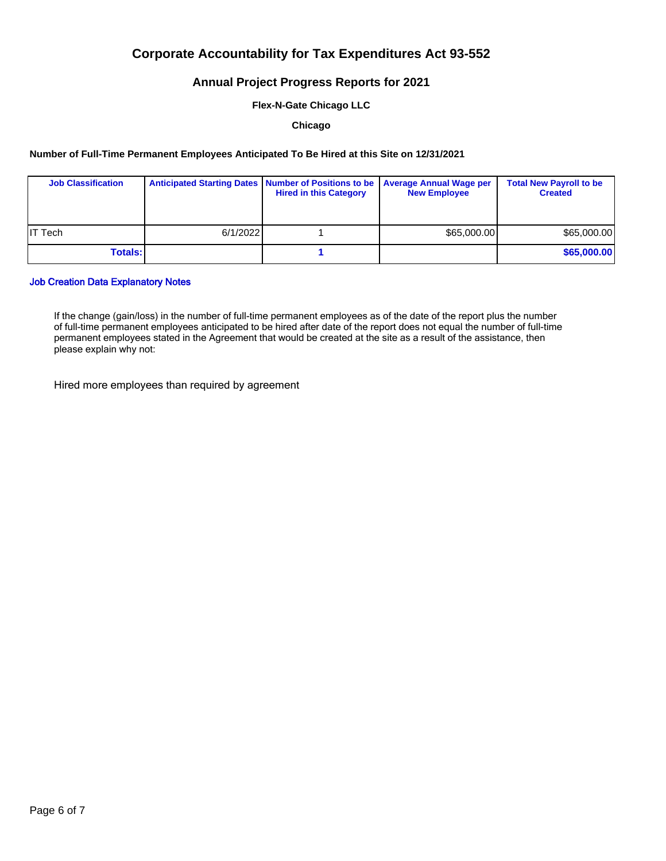### **Annual Project Progress Reports for 2021**

**Flex-N-Gate Chicago LLC**

**Chicago**

#### **Number of Full-Time Permanent Employees Anticipated To Be Hired at this Site on 12/31/2021**

| <b>Job Classification</b> |          | Anticipated Starting Dates   Number of Positions to be   Average Annual Wage per<br><b>Hired in this Category</b> | <b>New Employee</b> | <b>Total New Payroll to be</b><br><b>Created</b> |
|---------------------------|----------|-------------------------------------------------------------------------------------------------------------------|---------------------|--------------------------------------------------|
| <b>IT Tech</b>            | 6/1/2022 |                                                                                                                   | \$65,000,00         | \$65,000.00                                      |
| <b>Totals:</b>            |          |                                                                                                                   |                     | \$65,000.00                                      |

#### Job Creation Data Explanatory Notes

If the change (gain/loss) in the number of full-time permanent employees as of the date of the report plus the number of full-time permanent employees anticipated to be hired after date of the report does not equal the number of full-time permanent employees stated in the Agreement that would be created at the site as a result of the assistance, then please explain why not:

Hired more employees than required by agreement